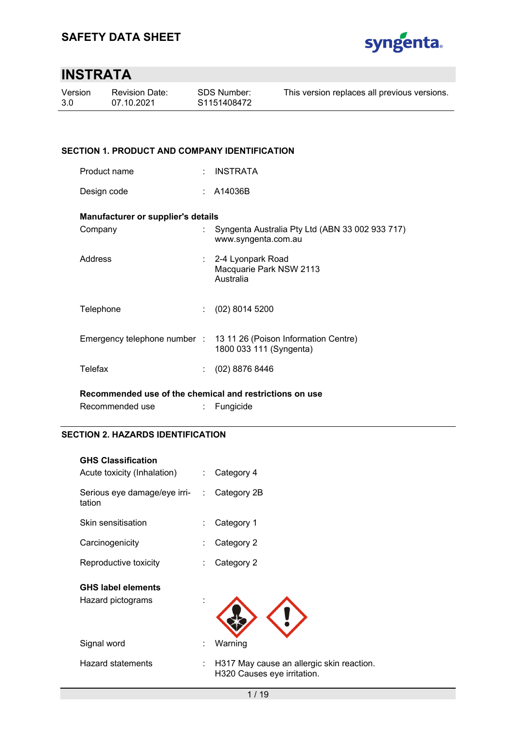

## **INSTRATA**

| Version | <b>Revision Date:</b> | <b>SDS Number:</b> | This version replaces all previous versions. |
|---------|-----------------------|--------------------|----------------------------------------------|
| 3.0     | 07.10.2021            | S1151408472        |                                              |
|         |                       |                    |                                              |

### **SECTION 1. PRODUCT AND COMPANY IDENTIFICATION**

| Product name |  | INSTRATA |
|--------------|--|----------|
|--------------|--|----------|

Design code : A14036B

### **Manufacturer or supplier's details**

| Company                                                 |  | Syngenta Australia Pty Ltd (ABN 33 002 933 717)<br>www.syngenta.com.au                       |  |  |  |
|---------------------------------------------------------|--|----------------------------------------------------------------------------------------------|--|--|--|
| Address                                                 |  | : 2-4 Lyonpark Road<br>Macquarie Park NSW 2113<br>Australia                                  |  |  |  |
| Telephone                                               |  | $(02)$ 8014 5200                                                                             |  |  |  |
|                                                         |  | Emergency telephone number : 13 11 26 (Poison Information Centre)<br>1800 033 111 (Syngenta) |  |  |  |
| Telefax                                                 |  | $(02)$ 8876 8446                                                                             |  |  |  |
| Recommended use of the chemical and restrictions on use |  |                                                                                              |  |  |  |

Recommended use : Fungicide

### **SECTION 2. HAZARDS IDENTIFICATION**

| <b>GHS Classification</b><br>Acute toxicity (Inhalation) | ÷. | Category 4                                                               |
|----------------------------------------------------------|----|--------------------------------------------------------------------------|
| Serious eye damage/eye irri- :<br>tation                 |    | Category 2B                                                              |
| Skin sensitisation                                       |    | Category 1                                                               |
| Carcinogenicity                                          |    | Category 2                                                               |
| Reproductive toxicity                                    |    | Category 2                                                               |
| <b>GHS label elements</b><br>Hazard pictograms           |    |                                                                          |
| Signal word                                              |    | Warning                                                                  |
| <b>Hazard statements</b>                                 | ÷. | H317 May cause an allergic skin reaction.<br>H320 Causes eye irritation. |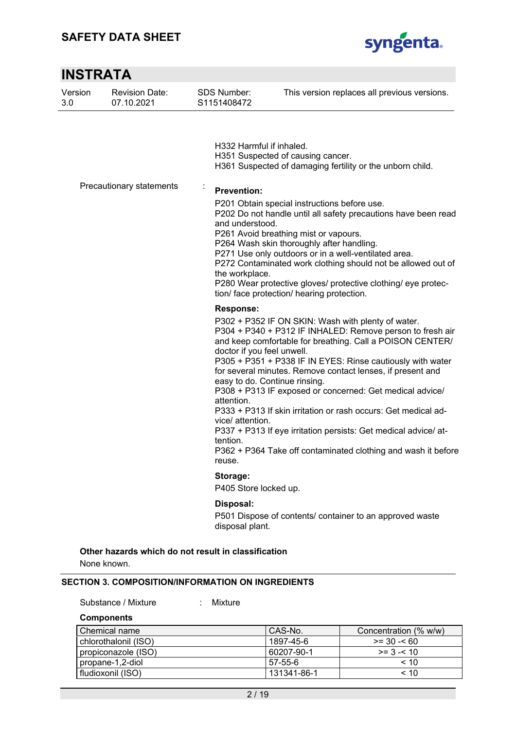

| <b>INSTRATA</b> |                                     |                                                                                                        |                                                                                                                                                                                                                                                                                                                                                                                                                                                                                                                                                                                                             |
|-----------------|-------------------------------------|--------------------------------------------------------------------------------------------------------|-------------------------------------------------------------------------------------------------------------------------------------------------------------------------------------------------------------------------------------------------------------------------------------------------------------------------------------------------------------------------------------------------------------------------------------------------------------------------------------------------------------------------------------------------------------------------------------------------------------|
| Version<br>3.0  | <b>Revision Date:</b><br>07.10.2021 | <b>SDS Number:</b><br>S1151408472                                                                      | This version replaces all previous versions.                                                                                                                                                                                                                                                                                                                                                                                                                                                                                                                                                                |
|                 |                                     | H332 Harmful if inhaled.                                                                               | H351 Suspected of causing cancer.<br>H361 Suspected of damaging fertility or the unborn child.                                                                                                                                                                                                                                                                                                                                                                                                                                                                                                              |
|                 | Precautionary statements            | <b>Prevention:</b><br>and understood.<br>the workplace.                                                | P201 Obtain special instructions before use.<br>P202 Do not handle until all safety precautions have been read<br>P261 Avoid breathing mist or vapours.<br>P264 Wash skin thoroughly after handling.<br>P271 Use only outdoors or in a well-ventilated area.<br>P272 Contaminated work clothing should not be allowed out of<br>P280 Wear protective gloves/ protective clothing/ eye protec-<br>tion/ face protection/ hearing protection.                                                                                                                                                                 |
|                 |                                     | <b>Response:</b><br>doctor if you feel unwell.<br>attention.<br>vice/ attention.<br>tention.<br>reuse. | P302 + P352 IF ON SKIN: Wash with plenty of water.<br>P304 + P340 + P312 IF INHALED: Remove person to fresh air<br>and keep comfortable for breathing. Call a POISON CENTER/<br>P305 + P351 + P338 IF IN EYES: Rinse cautiously with water<br>for several minutes. Remove contact lenses, if present and<br>easy to do. Continue rinsing.<br>P308 + P313 IF exposed or concerned: Get medical advice/<br>P333 + P313 If skin irritation or rash occurs: Get medical ad-<br>P337 + P313 If eye irritation persists: Get medical advice/ at-<br>P362 + P364 Take off contaminated clothing and wash it before |
|                 |                                     | Storage:<br>P405 Store locked up.                                                                      |                                                                                                                                                                                                                                                                                                                                                                                                                                                                                                                                                                                                             |
|                 |                                     | Disposal:<br>disposal plant.                                                                           | P501 Dispose of contents/ container to an approved waste                                                                                                                                                                                                                                                                                                                                                                                                                                                                                                                                                    |

**Other hazards which do not result in classification** 

None known.

#### **SECTION 3. COMPOSITION/INFORMATION ON INGREDIENTS**

Substance / Mixture : Mixture

**Components** 

| l Chemical name      | CAS-No.     | Concentration (% w/w) |
|----------------------|-------------|-----------------------|
| chlorothalonil (ISO) | 1897-45-6   | $>= 30 - 60$          |
| propiconazole (ISO)  | 60207-90-1  | $>= 3 - 10$           |
| propane-1,2-diol     | 57-55-6     | < 10                  |
| l fludioxonil (ISO). | 131341-86-1 | ~< 10                 |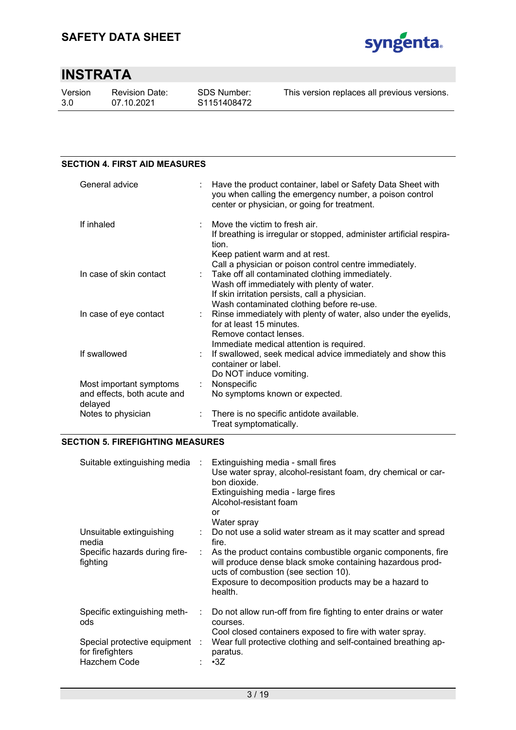

Version 3.0

Revision Date: 07.10.2021

#### **SECTION 4. FIRST AID MEASURES**  General advice : Have the product container, label or Safety Data Sheet with you when calling the emergency number, a poison control center or physician, or going for treatment. If inhaled : Move the victim to fresh air. If breathing is irregular or stopped, administer artificial respiration. Keep patient warm and at rest. Call a physician or poison control centre immediately. In case of skin contact : Take off all contaminated clothing immediately. Wash off immediately with plenty of water. If skin irritation persists, call a physician. Wash contaminated clothing before re-use. In case of eye contact : Rinse immediately with plenty of water, also under the eyelids, for at least 15 minutes. Remove contact lenses. Immediate medical attention is required. If swallowed : If swallowed, seek medical advice immediately and show this container or label. Do NOT induce vomiting. Most important symptoms and effects, both acute and delayed : Nonspecific No symptoms known or expected. Notes to physician : There is no specific antidote available. Treat symptomatically.

### **SECTION 5. FIREFIGHTING MEASURES**

| Suitable extinguishing media                                       | $\sim$ 10 $\,$ | Extinguishing media - small fires<br>Use water spray, alcohol-resistant foam, dry chemical or car-<br>bon dioxide.<br>Extinguishing media - large fires<br>Alcohol-resistant foam<br>or<br>Water spray                                |
|--------------------------------------------------------------------|----------------|---------------------------------------------------------------------------------------------------------------------------------------------------------------------------------------------------------------------------------------|
| Unsuitable extinguishing<br>media                                  | ÷.             | Do not use a solid water stream as it may scatter and spread<br>fire.                                                                                                                                                                 |
| Specific hazards during fire-<br>fighting                          | ÷              | As the product contains combustible organic components, fire<br>will produce dense black smoke containing hazardous prod-<br>ucts of combustion (see section 10).<br>Exposure to decomposition products may be a hazard to<br>health. |
| Specific extinguishing meth-<br>ods                                | ÷.             | Do not allow run-off from fire fighting to enter drains or water<br>courses.                                                                                                                                                          |
| Special protective equipment :<br>for firefighters<br>Hazchem Code |                | Cool closed containers exposed to fire with water spray.<br>Wear full protective clothing and self-contained breathing ap-<br>paratus.<br>$\cdot$ 3Z                                                                                  |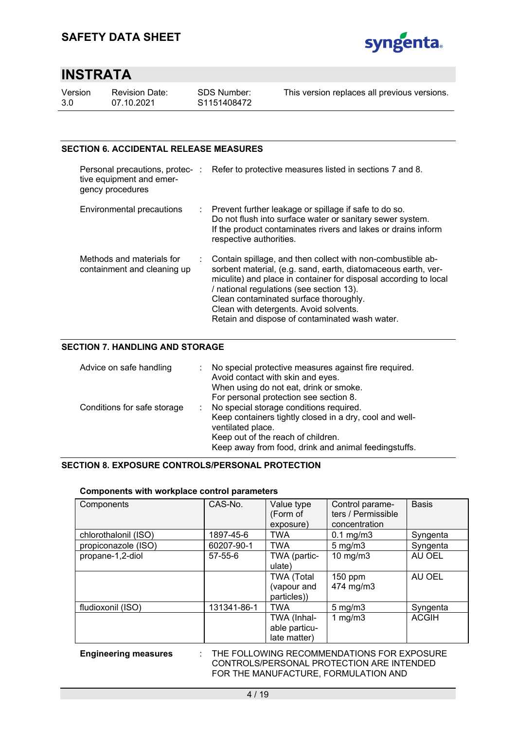

| Version | R٤ |
|---------|----|
| 3.0     | 07 |

evision Date: 07.10.2021

This version replaces all previous versions.

### **SECTION 6. ACCIDENTAL RELEASE MEASURES**

| tive equipment and emer-<br>gency procedures             | Personal precautions, protec-: Refer to protective measures listed in sections 7 and 8.                                                                                                                                                                                                                                                                                              |
|----------------------------------------------------------|--------------------------------------------------------------------------------------------------------------------------------------------------------------------------------------------------------------------------------------------------------------------------------------------------------------------------------------------------------------------------------------|
| Environmental precautions                                | : Prevent further leakage or spillage if safe to do so.<br>Do not flush into surface water or sanitary sewer system.<br>If the product contaminates rivers and lakes or drains inform<br>respective authorities.                                                                                                                                                                     |
| Methods and materials for<br>containment and cleaning up | : Contain spillage, and then collect with non-combustible ab-<br>sorbent material, (e.g. sand, earth, diatomaceous earth, ver-<br>miculite) and place in container for disposal according to local<br>/ national regulations (see section 13).<br>Clean contaminated surface thoroughly.<br>Clean with detergents. Avoid solvents.<br>Retain and dispose of contaminated wash water. |

### **SECTION 7. HANDLING AND STORAGE**

| Advice on safe handling     | No special protective measures against fire required.<br>Avoid contact with skin and eyes.<br>When using do not eat, drink or smoke.<br>For personal protection see section 8.                                        |
|-----------------------------|-----------------------------------------------------------------------------------------------------------------------------------------------------------------------------------------------------------------------|
| Conditions for safe storage | No special storage conditions required.<br>Keep containers tightly closed in a dry, cool and well-<br>ventilated place.<br>Keep out of the reach of children.<br>Keep away from food, drink and animal feedingstuffs. |

#### **SECTION 8. EXPOSURE CONTROLS/PERSONAL PROTECTION**

### **Components with workplace control parameters**

| Components           | CAS-No.       | Value type<br>(Form of                          | Control parame-<br>ters / Permissible | <b>Basis</b> |
|----------------------|---------------|-------------------------------------------------|---------------------------------------|--------------|
|                      |               | exposure)                                       | concentration                         |              |
| chlorothalonil (ISO) | 1897-45-6     | <b>TWA</b>                                      | $0.1$ mg/m $3$                        | Syngenta     |
| propiconazole (ISO)  | 60207-90-1    | <b>TWA</b>                                      | $5 \text{ mg/m}$                      | Syngenta     |
| propane-1,2-diol     | $57 - 55 - 6$ | TWA (partic-<br>ulate)                          | 10 mg/m $3$                           | AU OEL       |
|                      |               | <b>TWA (Total</b><br>(vapour and<br>particles)) | $150$ ppm<br>474 mg/m3                | AU OEL       |
| fludioxonil (ISO)    | 131341-86-1   | <b>TWA</b>                                      | $5 \text{ mg/m}$                      | Syngenta     |
|                      |               | TWA (Inhal-<br>able particu-<br>late matter)    | 1 mg/m $3$                            | <b>ACGIH</b> |

#### **Engineering measures** : THE FOLLOWING RECOMMENDATIONS FOR EXPOSURE CONTROLS/PERSONAL PROTECTION ARE INTENDED FOR THE MANUFACTURE, FORMULATION AND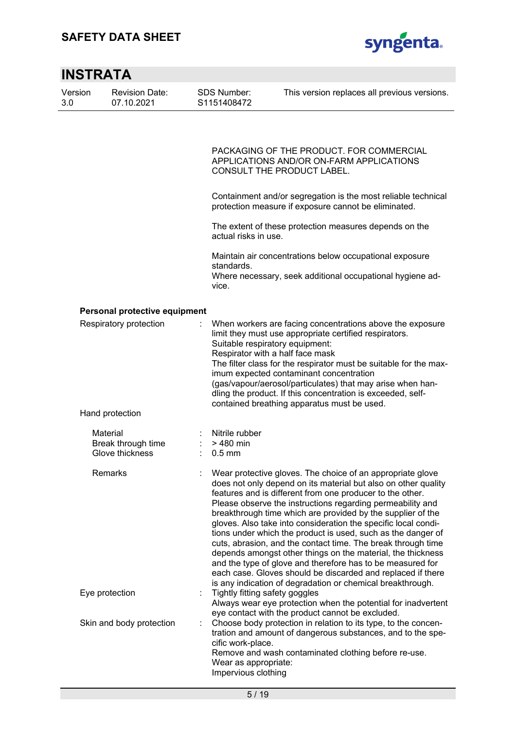

| <b>INSTRATA</b> |                                                   |                                                 |                                                                                                                                                                                                                                                                                                                                                                                                                                                                                                                                                                                                                                                                                                                                                                                    |
|-----------------|---------------------------------------------------|-------------------------------------------------|------------------------------------------------------------------------------------------------------------------------------------------------------------------------------------------------------------------------------------------------------------------------------------------------------------------------------------------------------------------------------------------------------------------------------------------------------------------------------------------------------------------------------------------------------------------------------------------------------------------------------------------------------------------------------------------------------------------------------------------------------------------------------------|
| Version<br>3.0  | <b>Revision Date:</b><br>07.10.2021               | SDS Number:<br>S1151408472                      | This version replaces all previous versions.                                                                                                                                                                                                                                                                                                                                                                                                                                                                                                                                                                                                                                                                                                                                       |
|                 |                                                   |                                                 | PACKAGING OF THE PRODUCT. FOR COMMERCIAL<br>APPLICATIONS AND/OR ON-FARM APPLICATIONS<br><b>CONSULT THE PRODUCT LABEL.</b>                                                                                                                                                                                                                                                                                                                                                                                                                                                                                                                                                                                                                                                          |
|                 |                                                   |                                                 | Containment and/or segregation is the most reliable technical<br>protection measure if exposure cannot be eliminated.                                                                                                                                                                                                                                                                                                                                                                                                                                                                                                                                                                                                                                                              |
|                 |                                                   |                                                 | The extent of these protection measures depends on the<br>actual risks in use.                                                                                                                                                                                                                                                                                                                                                                                                                                                                                                                                                                                                                                                                                                     |
|                 |                                                   | standards.<br>vice.                             | Maintain air concentrations below occupational exposure<br>Where necessary, seek additional occupational hygiene ad-                                                                                                                                                                                                                                                                                                                                                                                                                                                                                                                                                                                                                                                               |
|                 | Personal protective equipment                     |                                                 |                                                                                                                                                                                                                                                                                                                                                                                                                                                                                                                                                                                                                                                                                                                                                                                    |
|                 | Respiratory protection                            |                                                 | When workers are facing concentrations above the exposure<br>limit they must use appropriate certified respirators.<br>Suitable respiratory equipment:<br>Respirator with a half face mask<br>The filter class for the respirator must be suitable for the max-<br>imum expected contaminant concentration<br>(gas/vapour/aerosol/particulates) that may arise when han-<br>dling the product. If this concentration is exceeded, self-<br>contained breathing apparatus must be used.                                                                                                                                                                                                                                                                                             |
|                 | Hand protection                                   |                                                 |                                                                                                                                                                                                                                                                                                                                                                                                                                                                                                                                                                                                                                                                                                                                                                                    |
|                 | Material<br>Break through time<br>Glove thickness | Nitrile rubber<br>> 480 min<br>$0.5 \text{ mm}$ |                                                                                                                                                                                                                                                                                                                                                                                                                                                                                                                                                                                                                                                                                                                                                                                    |
|                 | Remarks                                           |                                                 | Wear protective gloves. The choice of an appropriate glove<br>does not only depend on its material but also on other quality<br>features and is different from one producer to the other.<br>Please observe the instructions regarding permeability and<br>breakthrough time which are provided by the supplier of the<br>gloves. Also take into consideration the specific local condi-<br>tions under which the product is used, such as the danger of<br>cuts, abrasion, and the contact time. The break through time<br>depends amongst other things on the material, the thickness<br>and the type of glove and therefore has to be measured for<br>each case. Gloves should be discarded and replaced if there<br>is any indication of degradation or chemical breakthrough. |
|                 | Eye protection                                    |                                                 | Tightly fitting safety goggles<br>Always wear eye protection when the potential for inadvertent<br>eye contact with the product cannot be excluded.                                                                                                                                                                                                                                                                                                                                                                                                                                                                                                                                                                                                                                |
|                 | Skin and body protection                          | t<br>cific work-place.                          | Choose body protection in relation to its type, to the concen-<br>tration and amount of dangerous substances, and to the spe-<br>Remove and wash contaminated clothing before re-use.<br>Wear as appropriate:<br>Impervious clothing                                                                                                                                                                                                                                                                                                                                                                                                                                                                                                                                               |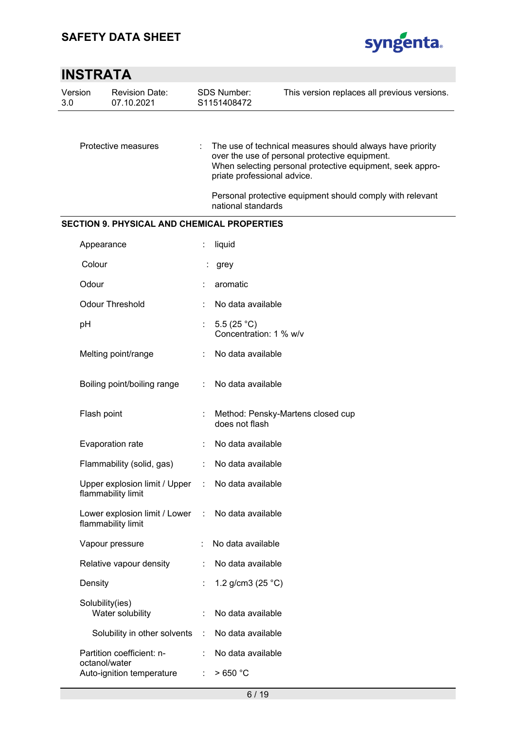

| Version<br>3.0 | <b>Revision Date:</b><br>07.10.2021                 |    | <b>SDS Number:</b><br>S1151408472       | This version replaces all previous versions.                                                                                                                             |
|----------------|-----------------------------------------------------|----|-----------------------------------------|--------------------------------------------------------------------------------------------------------------------------------------------------------------------------|
|                |                                                     |    |                                         |                                                                                                                                                                          |
|                | Protective measures                                 |    | priate professional advice.             | The use of technical measures should always have priority<br>over the use of personal protective equipment.<br>When selecting personal protective equipment, seek appro- |
|                |                                                     |    | national standards                      | Personal protective equipment should comply with relevant                                                                                                                |
|                | <b>SECTION 9. PHYSICAL AND CHEMICAL PROPERTIES</b>  |    |                                         |                                                                                                                                                                          |
|                | Appearance                                          |    | liquid                                  |                                                                                                                                                                          |
|                | Colour                                              |    | grey                                    |                                                                                                                                                                          |
|                | Odour                                               |    | aromatic                                |                                                                                                                                                                          |
|                | <b>Odour Threshold</b>                              |    | No data available                       |                                                                                                                                                                          |
|                | рH                                                  | t. | 5.5 $(25 °C)$<br>Concentration: 1 % w/v |                                                                                                                                                                          |
|                | Melting point/range                                 |    | No data available                       |                                                                                                                                                                          |
|                | Boiling point/boiling range                         |    | No data available                       |                                                                                                                                                                          |
|                | Flash point                                         |    | does not flash                          | Method: Pensky-Martens closed cup                                                                                                                                        |
|                | Evaporation rate                                    |    | No data available                       |                                                                                                                                                                          |
|                | Flammability (solid, gas)                           |    | No data available                       |                                                                                                                                                                          |
|                | Upper explosion limit / Upper<br>flammability limit | ÷  | No data available                       |                                                                                                                                                                          |
|                | Lower explosion limit / Lower<br>flammability limit | ÷  | No data available                       |                                                                                                                                                                          |
|                | Vapour pressure                                     |    | No data available                       |                                                                                                                                                                          |
|                | Relative vapour density                             |    | No data available                       |                                                                                                                                                                          |
|                | Density                                             |    | 1.2 g/cm3 $(25 °C)$                     |                                                                                                                                                                          |
|                | Solubility(ies)<br>Water solubility                 |    | No data available                       |                                                                                                                                                                          |
|                | Solubility in other solvents                        | ÷  | No data available                       |                                                                                                                                                                          |
|                | Partition coefficient: n-<br>octanol/water          |    | No data available                       |                                                                                                                                                                          |
|                | Auto-ignition temperature                           | ÷  | >650 °C                                 |                                                                                                                                                                          |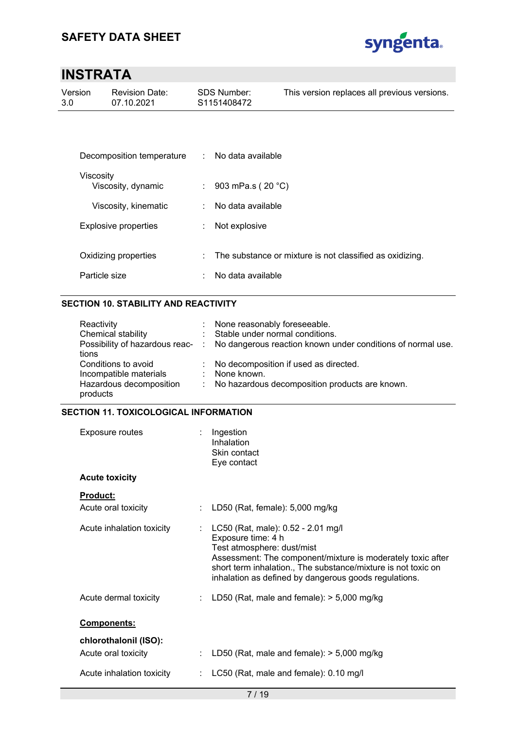

| Version<br>3.0 | <b>Revision Date:</b><br>07.10.2021 |   | SDS Number:<br>S1151408472 | This version replaces all previous versions.             |
|----------------|-------------------------------------|---|----------------------------|----------------------------------------------------------|
|                |                                     |   |                            |                                                          |
|                | Decomposition temperature           | ÷ | No data available          |                                                          |
|                | Viscosity<br>Viscosity, dynamic     | ÷ | 903 mPa.s ( $20 °C$ )      |                                                          |
|                | Viscosity, kinematic                | ÷ | No data available          |                                                          |
|                | <b>Explosive properties</b>         | ÷ | Not explosive              |                                                          |
|                | Oxidizing properties                | ÷ |                            | The substance or mixture is not classified as oxidizing. |
|                | Particle size                       |   | No data available          |                                                          |

### **SECTION 10. STABILITY AND REACTIVITY**

| Reactivity<br>Chemical stability                              | : None reasonably foreseeable.<br>: Stable under normal conditions.<br>Possibility of hazardous reac- : No dangerous reaction known under conditions of normal use. |
|---------------------------------------------------------------|---------------------------------------------------------------------------------------------------------------------------------------------------------------------|
| tions<br>Conditions to avoid                                  | : No decomposition if used as directed.                                                                                                                             |
| Incompatible materials<br>Hazardous decomposition<br>products | : None known.<br>: No hazardous decomposition products are known.                                                                                                   |

### **SECTION 11. TOXICOLOGICAL INFORMATION**

| Exposure routes                              | Ingestion<br>Inhalation<br>Skin contact<br>Eye contact                                                                                                                                                                                                                          |
|----------------------------------------------|---------------------------------------------------------------------------------------------------------------------------------------------------------------------------------------------------------------------------------------------------------------------------------|
| <b>Acute toxicity</b>                        |                                                                                                                                                                                                                                                                                 |
| <u>Product:</u><br>Acute oral toxicity       | : LD50 (Rat, female): $5,000$ mg/kg                                                                                                                                                                                                                                             |
| Acute inhalation toxicity                    | LC50 (Rat, male): 0.52 - 2.01 mg/l<br>Exposure time: 4 h<br>Test atmosphere: dust/mist<br>Assessment: The component/mixture is moderately toxic after<br>short term inhalation., The substance/mixture is not toxic on<br>inhalation as defined by dangerous goods regulations. |
| Acute dermal toxicity                        | LD50 (Rat, male and female): $>$ 5,000 mg/kg                                                                                                                                                                                                                                    |
| Components:                                  |                                                                                                                                                                                                                                                                                 |
| chlorothalonil (ISO):<br>Acute oral toxicity | LD50 (Rat, male and female): $>$ 5,000 mg/kg                                                                                                                                                                                                                                    |
| Acute inhalation toxicity                    | LC50 (Rat, male and female): 0.10 mg/l                                                                                                                                                                                                                                          |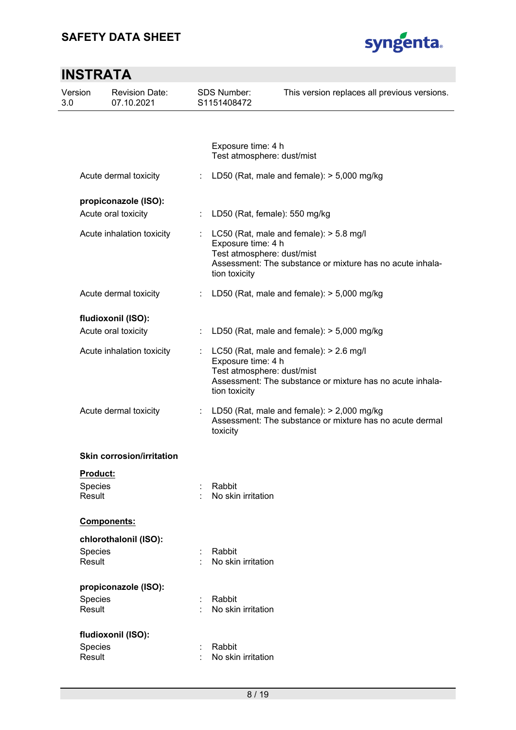

| Version<br>3.0 | <b>Revision Date:</b><br>07.10.2021 |   | <b>SDS Number:</b><br>S1151408472                                 | This version replaces all previous versions.                                                             |
|----------------|-------------------------------------|---|-------------------------------------------------------------------|----------------------------------------------------------------------------------------------------------|
|                |                                     |   |                                                                   |                                                                                                          |
|                |                                     |   | Exposure time: 4 h<br>Test atmosphere: dust/mist                  |                                                                                                          |
|                | Acute dermal toxicity               | ÷ |                                                                   | LD50 (Rat, male and female): $>$ 5,000 mg/kg                                                             |
|                | propiconazole (ISO):                |   |                                                                   |                                                                                                          |
|                | Acute oral toxicity                 |   | : LD50 (Rat, female): 550 mg/kg                                   |                                                                                                          |
|                | Acute inhalation toxicity           |   | Exposure time: 4 h<br>Test atmosphere: dust/mist<br>tion toxicity | LC50 (Rat, male and female): > 5.8 mg/l<br>Assessment: The substance or mixture has no acute inhala-     |
|                | Acute dermal toxicity               | ÷ |                                                                   | LD50 (Rat, male and female): $> 5,000$ mg/kg                                                             |
|                | fludioxonil (ISO):                  |   |                                                                   |                                                                                                          |
|                | Acute oral toxicity                 |   |                                                                   | LD50 (Rat, male and female): $>$ 5,000 mg/kg                                                             |
|                | Acute inhalation toxicity           |   | Exposure time: 4 h<br>Test atmosphere: dust/mist<br>tion toxicity | LC50 (Rat, male and female): > 2.6 mg/l<br>Assessment: The substance or mixture has no acute inhala-     |
|                | Acute dermal toxicity               | ÷ | toxicity                                                          | LD50 (Rat, male and female): $>$ 2,000 mg/kg<br>Assessment: The substance or mixture has no acute dermal |
|                | <b>Skin corrosion/irritation</b>    |   |                                                                   |                                                                                                          |
|                | Product:                            |   |                                                                   |                                                                                                          |
|                | Species<br>Result                   |   | Rabbit<br>No skin irritation                                      |                                                                                                          |
|                | Components:                         |   |                                                                   |                                                                                                          |
|                | chlorothalonil (ISO):               |   |                                                                   |                                                                                                          |
|                | Species<br><b>Result</b>            |   | Rabbit<br>No skin irritation                                      |                                                                                                          |
|                | propiconazole (ISO):                |   |                                                                   |                                                                                                          |
|                | Species<br>Result                   |   | Rabbit<br>No skin irritation                                      |                                                                                                          |
|                | fludioxonil (ISO):                  |   |                                                                   |                                                                                                          |
|                | Species<br>Result                   |   | Rabbit<br>No skin irritation                                      |                                                                                                          |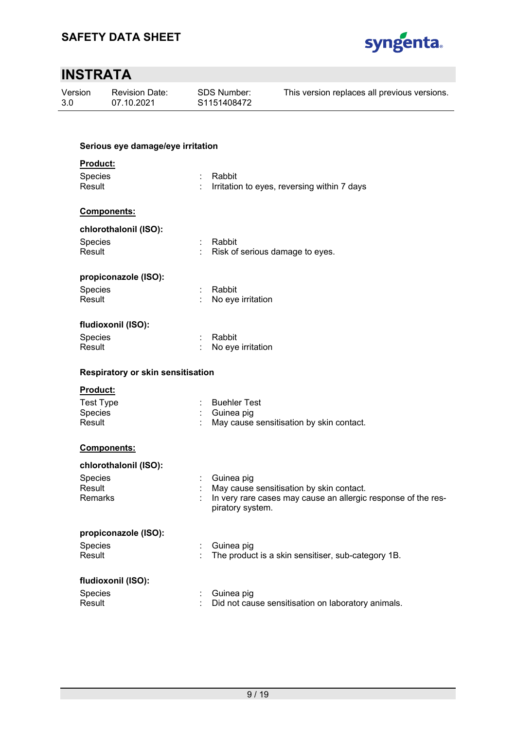

| Version<br>3.0   | <b>Revision Date:</b><br>07.10.2021 | <b>SDS Number:</b><br>S1151408472 |                     | This version replaces all previous versions.                  |  |
|------------------|-------------------------------------|-----------------------------------|---------------------|---------------------------------------------------------------|--|
|                  | Serious eye damage/eye irritation   |                                   |                     |                                                               |  |
| Product:         |                                     |                                   |                     |                                                               |  |
| Species          |                                     | Rabbit                            |                     |                                                               |  |
| Result           |                                     |                                   |                     | Irritation to eyes, reversing within 7 days                   |  |
|                  | Components:                         |                                   |                     |                                                               |  |
|                  | chlorothalonil (ISO):               |                                   |                     |                                                               |  |
| Species          |                                     | Rabbit<br>÷                       |                     |                                                               |  |
| Result           |                                     |                                   |                     | Risk of serious damage to eyes.                               |  |
|                  | propiconazole (ISO):                |                                   |                     |                                                               |  |
| Species          |                                     | Rabbit                            |                     |                                                               |  |
| Result           |                                     |                                   | No eye irritation   |                                                               |  |
|                  | fludioxonil (ISO):                  |                                   |                     |                                                               |  |
| Species          |                                     | Rabbit                            |                     |                                                               |  |
| Result           |                                     |                                   | No eye irritation   |                                                               |  |
|                  | Respiratory or skin sensitisation   |                                   |                     |                                                               |  |
| Product:         |                                     |                                   |                     |                                                               |  |
| <b>Test Type</b> |                                     |                                   | <b>Buehler Test</b> |                                                               |  |
| Species          |                                     |                                   | Guinea pig          |                                                               |  |
| Result           |                                     |                                   |                     | May cause sensitisation by skin contact.                      |  |
|                  | Components:                         |                                   |                     |                                                               |  |
|                  | chlorothalonil (ISO):               |                                   |                     |                                                               |  |
| Species          |                                     |                                   | Guinea pig          |                                                               |  |
| Result           |                                     |                                   |                     | May cause sensitisation by skin contact.                      |  |
| Remarks          |                                     |                                   | piratory system.    | In very rare cases may cause an allergic response of the res- |  |
|                  | propiconazole (ISO):                |                                   |                     |                                                               |  |
| Species          |                                     |                                   | Guinea pig          |                                                               |  |
| Result           |                                     |                                   |                     | The product is a skin sensitiser, sub-category 1B.            |  |
|                  | fludioxonil (ISO):                  |                                   |                     |                                                               |  |
| Species          |                                     |                                   | Guinea pig          |                                                               |  |
| Result           |                                     |                                   |                     | Did not cause sensitisation on laboratory animals.            |  |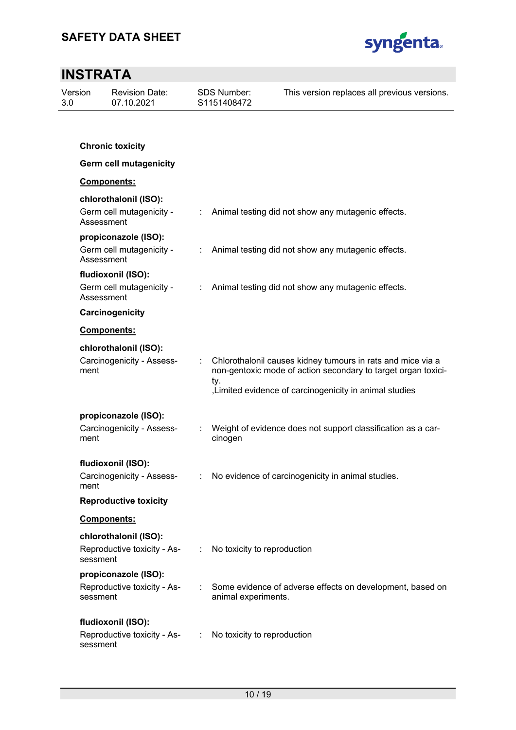

| Version<br>3.0 |            | <b>Revision Date:</b><br>07.10.2021                  |   | <b>SDS Number:</b><br>S1151408472 | This version replaces all previous versions.                                                                                                                                            |
|----------------|------------|------------------------------------------------------|---|-----------------------------------|-----------------------------------------------------------------------------------------------------------------------------------------------------------------------------------------|
|                |            |                                                      |   |                                   |                                                                                                                                                                                         |
|                |            | <b>Chronic toxicity</b>                              |   |                                   |                                                                                                                                                                                         |
|                |            | <b>Germ cell mutagenicity</b>                        |   |                                   |                                                                                                                                                                                         |
|                |            | Components:                                          |   |                                   |                                                                                                                                                                                         |
|                | Assessment | chlorothalonil (ISO):<br>Germ cell mutagenicity -    |   |                                   | : Animal testing did not show any mutagenic effects.                                                                                                                                    |
|                | Assessment | propiconazole (ISO):<br>Germ cell mutagenicity -     |   |                                   | : Animal testing did not show any mutagenic effects.                                                                                                                                    |
|                | Assessment | fludioxonil (ISO):<br>Germ cell mutagenicity -       |   |                                   | : Animal testing did not show any mutagenic effects.                                                                                                                                    |
|                |            | Carcinogenicity                                      |   |                                   |                                                                                                                                                                                         |
|                |            | Components:                                          |   |                                   |                                                                                                                                                                                         |
|                | ment       | chlorothalonil (ISO):<br>Carcinogenicity - Assess-   |   | ty.                               | Chlorothalonil causes kidney tumours in rats and mice via a<br>non-gentoxic mode of action secondary to target organ toxici-<br>, Limited evidence of carcinogenicity in animal studies |
|                | ment       | propiconazole (ISO):<br>Carcinogenicity - Assess-    |   | cinogen                           | Weight of evidence does not support classification as a car-                                                                                                                            |
|                | ment       | fludioxonil (ISO):                                   |   |                                   | Carcinogenicity - Assess- : No evidence of carcinogenicity in animal studies.                                                                                                           |
|                |            | <b>Reproductive toxicity</b>                         |   |                                   |                                                                                                                                                                                         |
|                |            | Components:                                          |   |                                   |                                                                                                                                                                                         |
|                | sessment   | chlorothalonil (ISO):<br>Reproductive toxicity - As- |   | : No toxicity to reproduction     |                                                                                                                                                                                         |
|                | sessment   | propiconazole (ISO):<br>Reproductive toxicity - As-  |   | animal experiments.               | Some evidence of adverse effects on development, based on                                                                                                                               |
|                | sessment   | fludioxonil (ISO):<br>Reproductive toxicity - As-    | ÷ | No toxicity to reproduction       |                                                                                                                                                                                         |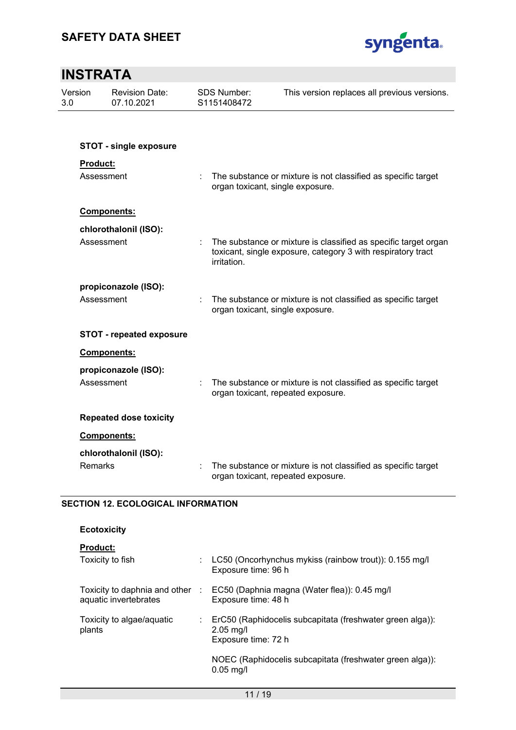

| Version<br><b>Revision Date:</b><br>07.10.2021<br>3.0 |                                           | <b>SDS Number:</b><br>S1151408472 | This version replaces all previous versions.                                                                                    |
|-------------------------------------------------------|-------------------------------------------|-----------------------------------|---------------------------------------------------------------------------------------------------------------------------------|
|                                                       |                                           |                                   |                                                                                                                                 |
|                                                       | <b>STOT - single exposure</b>             |                                   |                                                                                                                                 |
| Product:                                              |                                           |                                   |                                                                                                                                 |
|                                                       | Assessment                                | ÷                                 | The substance or mixture is not classified as specific target<br>organ toxicant, single exposure.                               |
|                                                       | <b>Components:</b>                        |                                   |                                                                                                                                 |
|                                                       | chlorothalonil (ISO):                     |                                   |                                                                                                                                 |
|                                                       | Assessment                                | irritation.                       | The substance or mixture is classified as specific target organ<br>toxicant, single exposure, category 3 with respiratory tract |
|                                                       | propiconazole (ISO):                      |                                   |                                                                                                                                 |
|                                                       | Assessment                                |                                   | The substance or mixture is not classified as specific target<br>organ toxicant, single exposure.                               |
|                                                       | <b>STOT - repeated exposure</b>           |                                   |                                                                                                                                 |
|                                                       | Components:                               |                                   |                                                                                                                                 |
|                                                       | propiconazole (ISO):                      |                                   |                                                                                                                                 |
|                                                       | Assessment                                |                                   | The substance or mixture is not classified as specific target<br>organ toxicant, repeated exposure.                             |
|                                                       | <b>Repeated dose toxicity</b>             |                                   |                                                                                                                                 |
|                                                       | Components:                               |                                   |                                                                                                                                 |
|                                                       | chlorothalonil (ISO):                     |                                   |                                                                                                                                 |
| Remarks                                               |                                           |                                   | The substance or mixture is not classified as specific target<br>organ toxicant, repeated exposure.                             |
|                                                       | <b>SECTION 12. ECOLOGICAL INFORMATION</b> |                                   |                                                                                                                                 |

**Product:** 

| Toxicity to fish                                       |            | LC50 (Oncorhynchus mykiss (rainbow trout)): 0.155 mg/l<br>Exposure time: 96 h                   |
|--------------------------------------------------------|------------|-------------------------------------------------------------------------------------------------|
| Toxicity to daphnia and other<br>aquatic invertebrates | <b>COL</b> | EC50 (Daphnia magna (Water flea)): 0.45 mg/l<br>Exposure time: 48 h                             |
| Toxicity to algae/aquatic<br>plants                    |            | ErC50 (Raphidocelis subcapitata (freshwater green alga)):<br>$2.05$ mg/l<br>Exposure time: 72 h |
|                                                        |            | NOEC (Raphidocelis subcapitata (freshwater green alga)):<br>$0.05$ mg/l                         |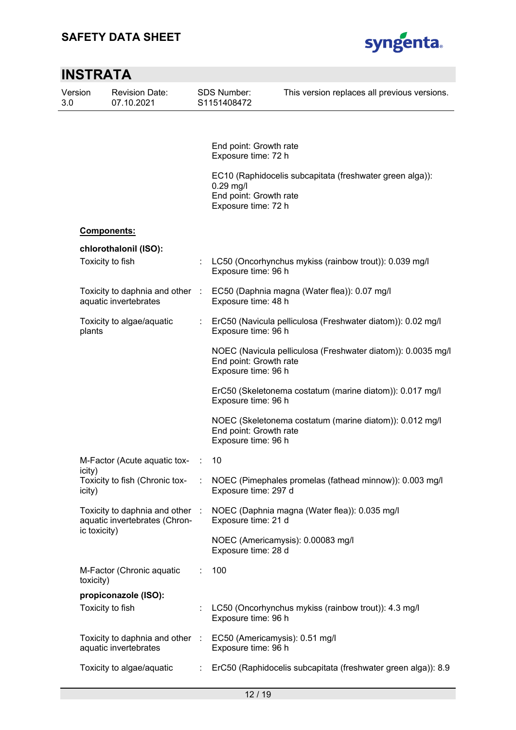

|                  | <b>INSTRATA</b>                                                                         |                           |                                                              |                                                               |
|------------------|-----------------------------------------------------------------------------------------|---------------------------|--------------------------------------------------------------|---------------------------------------------------------------|
| Version<br>3.0   | <b>Revision Date:</b><br>07.10.2021                                                     |                           | <b>SDS Number:</b><br>S1151408472                            | This version replaces all previous versions.                  |
|                  |                                                                                         |                           | End point: Growth rate                                       |                                                               |
|                  |                                                                                         |                           | Exposure time: 72 h                                          |                                                               |
|                  |                                                                                         |                           | $0.29$ mg/l<br>End point: Growth rate<br>Exposure time: 72 h | EC10 (Raphidocelis subcapitata (freshwater green alga)):      |
|                  | <b>Components:</b>                                                                      |                           |                                                              |                                                               |
|                  | chlorothalonil (ISO):                                                                   |                           |                                                              |                                                               |
|                  | Toxicity to fish                                                                        |                           | Exposure time: 96 h                                          | LC50 (Oncorhynchus mykiss (rainbow trout)): 0.039 mg/l        |
|                  | Toxicity to daphnia and other :<br>aquatic invertebrates                                |                           | Exposure time: 48 h                                          | EC50 (Daphnia magna (Water flea)): 0.07 mg/l                  |
| plants           | Toxicity to algae/aquatic                                                               | $\mathbb{Z}^{\mathbb{Z}}$ | Exposure time: 96 h                                          | ErC50 (Navicula pelliculosa (Freshwater diatom)): 0.02 mg/l   |
|                  |                                                                                         |                           | End point: Growth rate<br>Exposure time: 96 h                | NOEC (Navicula pelliculosa (Freshwater diatom)): 0.0035 mg/l  |
|                  |                                                                                         |                           | Exposure time: 96 h                                          | ErC50 (Skeletonema costatum (marine diatom)): 0.017 mg/l      |
|                  |                                                                                         |                           | End point: Growth rate<br>Exposure time: 96 h                | NOEC (Skeletonema costatum (marine diatom)): 0.012 mg/l       |
|                  | M-Factor (Acute aquatic tox-                                                            | it.                       | 10                                                           |                                                               |
| icity)<br>icity) | Toxicity to fish (Chronic tox-                                                          |                           | Exposure time: 297 d                                         | NOEC (Pimephales promelas (fathead minnow)): 0.003 mg/l       |
|                  | Toxicity to daphnia and other :<br>aquatic invertebrates (Chron-                        |                           | Exposure time: 21 d                                          | NOEC (Daphnia magna (Water flea)): 0.035 mg/l                 |
|                  | ic toxicity)                                                                            |                           | Exposure time: 28 d                                          | NOEC (Americamysis): 0.00083 mg/l                             |
| toxicity)        | M-Factor (Chronic aquatic                                                               | ÷.                        | 100                                                          |                                                               |
|                  | propiconazole (ISO):<br>Toxicity to fish                                                |                           | Exposure time: 96 h                                          | LC50 (Oncorhynchus mykiss (rainbow trout)): 4.3 mg/l          |
|                  | Toxicity to daphnia and other : EC50 (Americamysis): 0.51 mg/l<br>aquatic invertebrates |                           | Exposure time: 96 h                                          |                                                               |
|                  | Toxicity to algae/aquatic                                                               |                           |                                                              | ErC50 (Raphidocelis subcapitata (freshwater green alga)): 8.9 |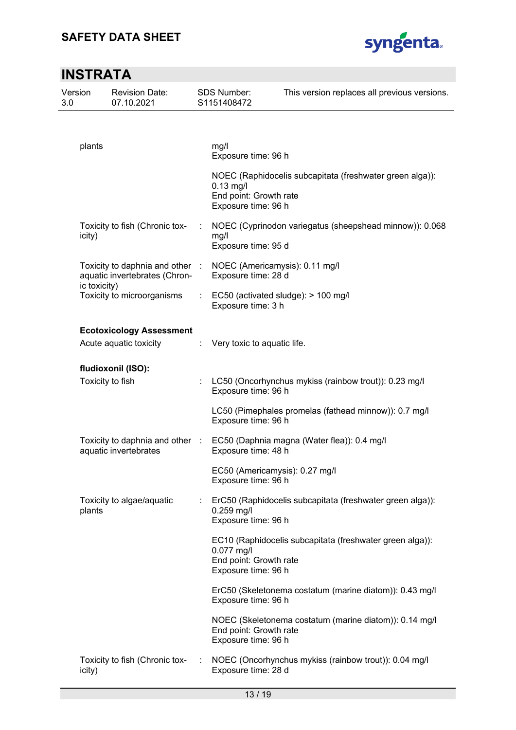

|                | <b>INSTRATA</b> |                                                                  |   |                                                                    |                                                           |  |  |
|----------------|-----------------|------------------------------------------------------------------|---|--------------------------------------------------------------------|-----------------------------------------------------------|--|--|
| Version<br>3.0 |                 | <b>Revision Date:</b><br>07.10.2021                              |   | <b>SDS Number:</b><br>S1151408472                                  | This version replaces all previous versions.              |  |  |
|                | plants          |                                                                  |   | mg/l                                                               |                                                           |  |  |
|                |                 |                                                                  |   | Exposure time: 96 h                                                |                                                           |  |  |
|                |                 |                                                                  |   | $0.13$ mg/l<br>End point: Growth rate<br>Exposure time: 96 h       | NOEC (Raphidocelis subcapitata (freshwater green alga)):  |  |  |
|                | icity)          | Toxicity to fish (Chronic tox-                                   |   | mg/l<br>Exposure time: 95 d                                        | NOEC (Cyprinodon variegatus (sheepshead minnow)): 0.068   |  |  |
|                | ic toxicity)    | Toxicity to daphnia and other :<br>aquatic invertebrates (Chron- |   | NOEC (Americamysis): 0.11 mg/l<br>Exposure time: 28 d              |                                                           |  |  |
|                |                 | Toxicity to microorganisms                                       | ÷ | EC50 (activated sludge): > 100 mg/l<br>Exposure time: 3 h          |                                                           |  |  |
|                |                 | <b>Ecotoxicology Assessment</b><br>Acute aquatic toxicity        |   | Very toxic to aquatic life.                                        |                                                           |  |  |
|                |                 | fludioxonil (ISO):<br>Toxicity to fish                           |   | Exposure time: 96 h                                                | LC50 (Oncorhynchus mykiss (rainbow trout)): 0.23 mg/l     |  |  |
|                |                 |                                                                  |   | Exposure time: 96 h                                                | LC50 (Pimephales promelas (fathead minnow)): 0.7 mg/l     |  |  |
|                |                 | Toxicity to daphnia and other :<br>aquatic invertebrates         |   | EC50 (Daphnia magna (Water flea)): 0.4 mg/l<br>Exposure time: 48 h |                                                           |  |  |
|                |                 |                                                                  |   | EC50 (Americamysis): 0.27 mg/l<br>Exposure time: 96 h              |                                                           |  |  |
|                | plants          | Toxicity to algae/aquatic                                        |   | $0.259$ mg/l<br>Exposure time: 96 h                                | ErC50 (Raphidocelis subcapitata (freshwater green alga)): |  |  |
|                |                 |                                                                  |   | $0.077$ mg/l<br>End point: Growth rate<br>Exposure time: 96 h      | EC10 (Raphidocelis subcapitata (freshwater green alga)):  |  |  |
|                |                 |                                                                  |   | Exposure time: 96 h                                                | ErC50 (Skeletonema costatum (marine diatom)): 0.43 mg/l   |  |  |
|                |                 |                                                                  |   | End point: Growth rate<br>Exposure time: 96 h                      | NOEC (Skeletonema costatum (marine diatom)): 0.14 mg/l    |  |  |
|                | icity)          | Toxicity to fish (Chronic tox-                                   |   | Exposure time: 28 d                                                | NOEC (Oncorhynchus mykiss (rainbow trout)): 0.04 mg/l     |  |  |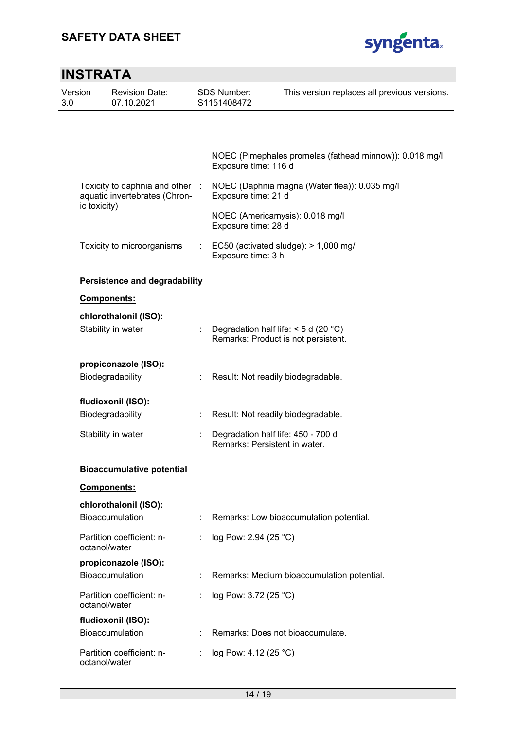

| <b>INSTRATA</b> |                                                                  |                       |                                   |                                                                               |
|-----------------|------------------------------------------------------------------|-----------------------|-----------------------------------|-------------------------------------------------------------------------------|
| Version<br>3.0  | <b>Revision Date:</b><br>07.10.2021                              |                       | <b>SDS Number:</b><br>S1151408472 | This version replaces all previous versions.                                  |
|                 |                                                                  |                       |                                   |                                                                               |
|                 |                                                                  |                       | Exposure time: 116 d              | NOEC (Pimephales promelas (fathead minnow)): 0.018 mg/l                       |
|                 | Toxicity to daphnia and other :<br>aquatic invertebrates (Chron- |                       | Exposure time: 21 d               | NOEC (Daphnia magna (Water flea)): 0.035 mg/l                                 |
| ic toxicity)    |                                                                  |                       | Exposure time: 28 d               | NOEC (Americamysis): 0.018 mg/l                                               |
|                 | Toxicity to microorganisms                                       | $\mathbb{Z}^{\times}$ | Exposure time: 3 h                | EC50 (activated sludge): $> 1,000$ mg/l                                       |
|                 | <b>Persistence and degradability</b>                             |                       |                                   |                                                                               |
|                 | Components:                                                      |                       |                                   |                                                                               |
|                 | chlorothalonil (ISO):                                            |                       |                                   |                                                                               |
|                 | Stability in water                                               |                       |                                   | Degradation half life: $<$ 5 d (20 °C)<br>Remarks: Product is not persistent. |
|                 | propiconazole (ISO):                                             |                       |                                   |                                                                               |
|                 | Biodegradability                                                 |                       |                                   | Result: Not readily biodegradable.                                            |
|                 | fludioxonil (ISO):                                               |                       |                                   |                                                                               |
|                 | Biodegradability                                                 |                       |                                   | Result: Not readily biodegradable.                                            |
|                 | Stability in water                                               | ÷.                    | Remarks: Persistent in water.     | Degradation half life: 450 - 700 d                                            |
|                 | <b>Bioaccumulative potential</b>                                 |                       |                                   |                                                                               |
|                 | <b>Components:</b>                                               |                       |                                   |                                                                               |
|                 | chlorothalonil (ISO):                                            |                       |                                   |                                                                               |
|                 | Bioaccumulation                                                  |                       |                                   | Remarks: Low bioaccumulation potential.                                       |
|                 | Partition coefficient: n-<br>octanol/water                       |                       | log Pow: 2.94 (25 °C)             |                                                                               |
|                 | propiconazole (ISO):                                             |                       |                                   |                                                                               |
|                 | <b>Bioaccumulation</b>                                           |                       |                                   | Remarks: Medium bioaccumulation potential.                                    |
|                 | Partition coefficient: n-<br>octanol/water                       |                       | log Pow: 3.72 (25 °C)             |                                                                               |
|                 | fludioxonil (ISO):                                               |                       |                                   |                                                                               |
|                 | Bioaccumulation                                                  |                       |                                   | Remarks: Does not bioaccumulate.                                              |
|                 | Partition coefficient: n-<br>octanol/water                       |                       | log Pow: 4.12 (25 °C)             |                                                                               |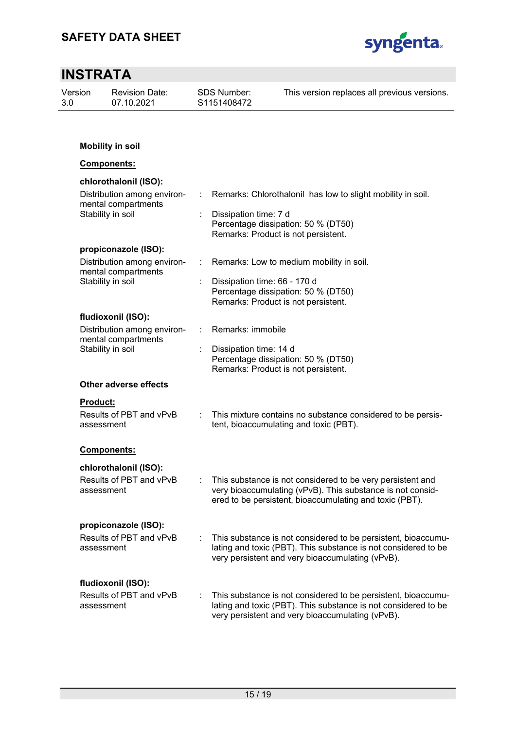

#### **INSTRATA**  Version 3.0 Revision Date: 07.10.2021 SDS Number: S1151408472 This version replaces all previous versions. **Mobility in soil Components: chlorothalonil (ISO):**  Distribution among environmental compartments : Remarks: Chlorothalonil has low to slight mobility in soil. Stability in soil **Stability** in soil **Stability** in soil Percentage dissipation: 50 % (DT50) Remarks: Product is not persistent. **propiconazole (ISO):**  Distribution among environmental compartments : Remarks: Low to medium mobility in soil. Stability in soil **Stability** in soil **Stability** in soil Percentage dissipation: 50 % (DT50) Remarks: Product is not persistent. **fludioxonil (ISO):**  Distribution among environmental compartments : Remarks: immobile Stability in soil **Stability** in soil **business** : Dissipation time: 14 d Percentage dissipation: 50 % (DT50) Remarks: Product is not persistent. **Other adverse effects Product:**  Results of PBT and vPvB assessment : This mixture contains no substance considered to be persistent, bioaccumulating and toxic (PBT). **Components: chlorothalonil (ISO):**  Results of PBT and vPvB assessment This substance is not considered to be very persistent and very bioaccumulating (vPvB). This substance is not considered to be persistent, bioaccumulating and toxic (PBT). **propiconazole (ISO):**  Results of PBT and vPvB assessment : This substance is not considered to be persistent, bioaccumulating and toxic (PBT). This substance is not considered to be very persistent and very bioaccumulating (vPvB). **fludioxonil (ISO):**  Results of PBT and vPvB assessment : This substance is not considered to be persistent, bioaccumulating and toxic (PBT). This substance is not considered to be very persistent and very bioaccumulating (vPvB).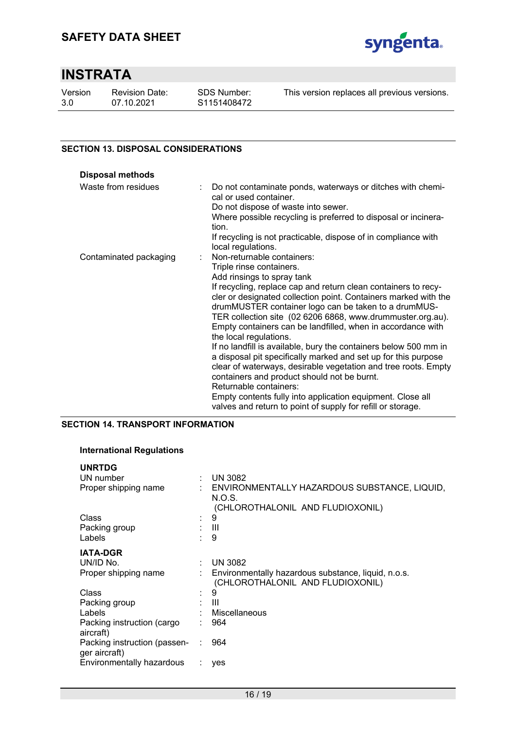

Version 3.0

Revision Date: 07.10.2021

This version replaces all previous versions.

### **SECTION 13. DISPOSAL CONSIDERATIONS**

| <b>Disposal methods</b> |                                                                                                                                                                                                                                                                                                                                                  |
|-------------------------|--------------------------------------------------------------------------------------------------------------------------------------------------------------------------------------------------------------------------------------------------------------------------------------------------------------------------------------------------|
| Waste from residues     | Do not contaminate ponds, waterways or ditches with chemi-<br>cal or used container.<br>Do not dispose of waste into sewer.<br>Where possible recycling is preferred to disposal or incinera-<br>tion.<br>If recycling is not practicable, dispose of in compliance with                                                                         |
|                         | local regulations.                                                                                                                                                                                                                                                                                                                               |
| Contaminated packaging  | Non-returnable containers:<br>÷.<br>Triple rinse containers.                                                                                                                                                                                                                                                                                     |
|                         | Add rinsings to spray tank                                                                                                                                                                                                                                                                                                                       |
|                         | If recycling, replace cap and return clean containers to recy-<br>cler or designated collection point. Containers marked with the<br>drumMUSTER container logo can be taken to a drumMUS-<br>TER collection site (02 6206 6868, www.drummuster.org.au).<br>Empty containers can be landfilled, when in accordance with<br>the local regulations. |
|                         | If no landfill is available, bury the containers below 500 mm in<br>a disposal pit specifically marked and set up for this purpose                                                                                                                                                                                                               |
|                         | clear of waterways, desirable vegetation and tree roots. Empty<br>containers and product should not be burnt.                                                                                                                                                                                                                                    |
|                         | Returnable containers:                                                                                                                                                                                                                                                                                                                           |
|                         | Empty contents fully into application equipment. Close all<br>valves and return to point of supply for refill or storage.                                                                                                                                                                                                                        |

### **SECTION 14. TRANSPORT INFORMATION**

#### **International Regulations**

| ÷.     | <b>UN 3082</b>                                                                               |
|--------|----------------------------------------------------------------------------------------------|
|        | : ENVIRONMENTALLY HAZARDOUS SUBSTANCE, LIQUID,<br>N.O.S.<br>(CHLOROTHALONIL AND FLUDIOXONIL) |
| $\sim$ | 9                                                                                            |
| ÷.     | - III                                                                                        |
|        | 9                                                                                            |
|        |                                                                                              |
|        | <b>UN 3082</b>                                                                               |
|        | Environmentally hazardous substance, liquid, n.o.s.<br>(CHLOROTHALONIL AND FLUDIOXONIL)      |
| ÷      | 9                                                                                            |
|        | : III                                                                                        |
|        | Miscellaneous                                                                                |
|        | 964                                                                                          |
|        | 964                                                                                          |
|        | yes                                                                                          |
|        |                                                                                              |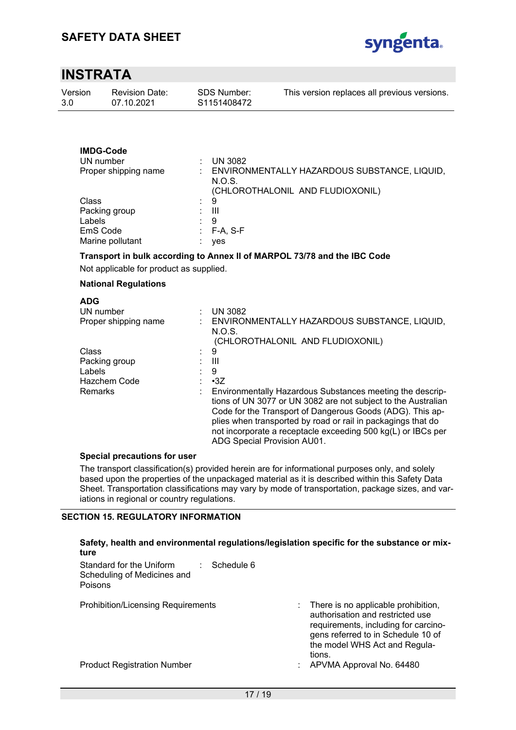

| Version | <b>Revision Date:</b> | SDS Number: | This version replaces all previous versions. |
|---------|-----------------------|-------------|----------------------------------------------|
| 3.0     | 07.10.2021            | S1151408472 |                                              |

### **IMDG-Code**

| UN number            |    | <b>UN 3082</b>                                         |
|----------------------|----|--------------------------------------------------------|
| Proper shipping name |    | ENVIRONMENTALLY HAZARDOUS SUBSTANCE, LIQUID,<br>N.O.S. |
|                      |    | (CHLOROTHALONIL AND FLUDIOXONIL)                       |
| Class                | ÷. | 9                                                      |
| Packing group        |    | Ш                                                      |
| Labels               |    | 9                                                      |
| EmS Code             |    | $F-A, S-F$                                             |
| Marine pollutant     |    | yes                                                    |

### **Transport in bulk according to Annex II of MARPOL 73/78 and the IBC Code**

Not applicable for product as supplied.

#### **National Regulations**

| <b>ADG</b>           |                                                               |
|----------------------|---------------------------------------------------------------|
| UN number            | <b>UN 3082</b>                                                |
| Proper shipping name | ENVIRONMENTALLY HAZARDOUS SUBSTANCE, LIQUID,                  |
|                      | N.O.S.                                                        |
|                      | (CHLOROTHALONIL AND FLUDIOXONIL)                              |
| Class                | 9                                                             |
| Packing group        | Ш                                                             |
| Labels               | -9                                                            |
| Hazchem Code         | $\cdot$ 3Z                                                    |
| <b>Remarks</b>       | Environmentally Hazardous Substances meeting the descrip-     |
|                      | tions of UN 3077 or UN 3082 are not subject to the Australian |
|                      | Code for the Transport of Dangerous Goods (ADG). This ap-     |
|                      | plies when transported by road or rail in packagings that do  |
|                      | not incorporate a receptacle exceeding 500 kg(L) or IBCs per  |
|                      | ADG Special Provision AU01.                                   |

#### **Special precautions for user**

The transport classification(s) provided herein are for informational purposes only, and solely based upon the properties of the unpackaged material as it is described within this Safety Data Sheet. Transportation classifications may vary by mode of transportation, package sizes, and variations in regional or country regulations.

#### **SECTION 15. REGULATORY INFORMATION**

#### **Safety, health and environmental regulations/legislation specific for the substance or mixture**  Standard for the Uniform Scheduling of Medicines and Poisons : Schedule 6 Prohibition/Licensing Requirements : There is no applicable prohibition, authorisation and restricted use requirements, including for carcinogens referred to in Schedule 10 of the model WHS Act and Regulations. Product Registration Number : APVMA Approval No. 64480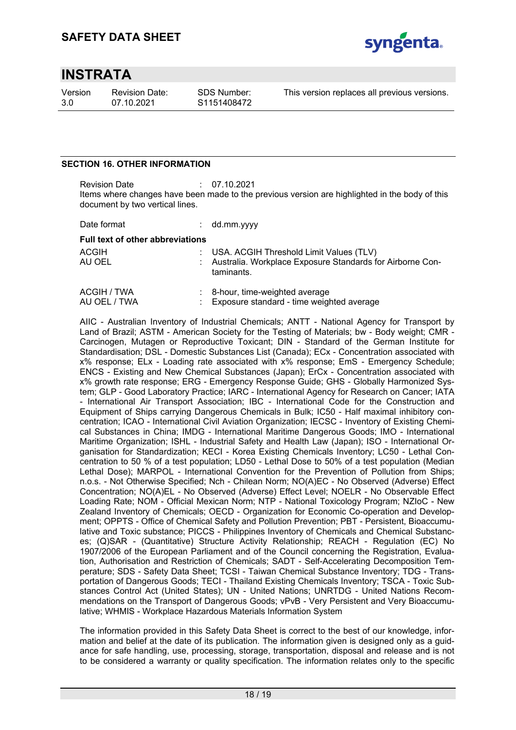

Version 3.0

Revision Date: 07.10.2021

SDS Number: S1151408472 This version replaces all previous versions.

### **SECTION 16. OTHER INFORMATION**

Revision Date : 07.10.2021 Items where changes have been made to the previous version are highlighted in the body of this document by two vertical lines.

| Date format                             | $:$ dd.mm.yyyy                                                            |
|-----------------------------------------|---------------------------------------------------------------------------|
| <b>Full text of other abbreviations</b> |                                                                           |
| <b>ACGIH</b>                            | : USA. ACGIH Threshold Limit Values (TLV)                                 |
| AU OEL                                  | : Australia. Workplace Exposure Standards for Airborne Con-<br>taminants. |

| ACGIH / TWA  | : 8-hour, time-weighted average             |
|--------------|---------------------------------------------|
| AU OEL / TWA | : Exposure standard - time weighted average |

AIIC - Australian Inventory of Industrial Chemicals; ANTT - National Agency for Transport by Land of Brazil; ASTM - American Society for the Testing of Materials; bw - Body weight; CMR - Carcinogen, Mutagen or Reproductive Toxicant; DIN - Standard of the German Institute for Standardisation; DSL - Domestic Substances List (Canada); ECx - Concentration associated with x% response; ELx - Loading rate associated with x% response; EmS - Emergency Schedule; ENCS - Existing and New Chemical Substances (Japan); ErCx - Concentration associated with x% growth rate response; ERG - Emergency Response Guide; GHS - Globally Harmonized System; GLP - Good Laboratory Practice; IARC - International Agency for Research on Cancer; IATA - International Air Transport Association; IBC - International Code for the Construction and Equipment of Ships carrying Dangerous Chemicals in Bulk; IC50 - Half maximal inhibitory concentration; ICAO - International Civil Aviation Organization; IECSC - Inventory of Existing Chemical Substances in China; IMDG - International Maritime Dangerous Goods; IMO - International Maritime Organization; ISHL - Industrial Safety and Health Law (Japan); ISO - International Organisation for Standardization; KECI - Korea Existing Chemicals Inventory; LC50 - Lethal Concentration to 50 % of a test population; LD50 - Lethal Dose to 50% of a test population (Median Lethal Dose); MARPOL - International Convention for the Prevention of Pollution from Ships; n.o.s. - Not Otherwise Specified; Nch - Chilean Norm; NO(A)EC - No Observed (Adverse) Effect Concentration; NO(A)EL - No Observed (Adverse) Effect Level; NOELR - No Observable Effect Loading Rate; NOM - Official Mexican Norm; NTP - National Toxicology Program; NZIoC - New Zealand Inventory of Chemicals; OECD - Organization for Economic Co-operation and Development; OPPTS - Office of Chemical Safety and Pollution Prevention; PBT - Persistent, Bioaccumulative and Toxic substance; PICCS - Philippines Inventory of Chemicals and Chemical Substances; (Q)SAR - (Quantitative) Structure Activity Relationship; REACH - Regulation (EC) No 1907/2006 of the European Parliament and of the Council concerning the Registration, Evaluation, Authorisation and Restriction of Chemicals; SADT - Self-Accelerating Decomposition Temperature; SDS - Safety Data Sheet; TCSI - Taiwan Chemical Substance Inventory; TDG - Transportation of Dangerous Goods; TECI - Thailand Existing Chemicals Inventory; TSCA - Toxic Substances Control Act (United States); UN - United Nations; UNRTDG - United Nations Recommendations on the Transport of Dangerous Goods; vPvB - Very Persistent and Very Bioaccumulative; WHMIS - Workplace Hazardous Materials Information System

The information provided in this Safety Data Sheet is correct to the best of our knowledge, information and belief at the date of its publication. The information given is designed only as a guidance for safe handling, use, processing, storage, transportation, disposal and release and is not to be considered a warranty or quality specification. The information relates only to the specific